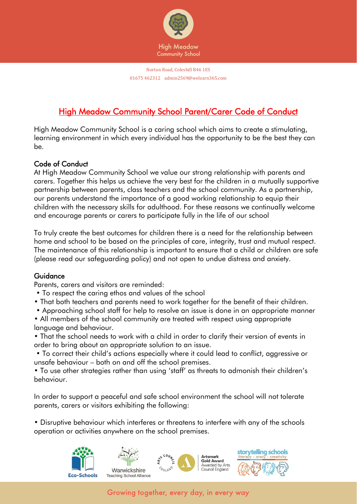

## High Meadow Community School Parent/Carer Code of Conduct

High Meadow Community School is a caring school which aims to create a stimulating, learning environment in which every individual has the opportunity to be the best they can be.

## Code of Conduct

At High Meadow Community School we value our strong relationship with parents and carers. Together this helps us achieve the very best for the children in a mutually supportive partnership between parents, class teachers and the school community. As a partnership, our parents understand the importance of a good working relationship to equip their children with the necessary skills for adulthood. For these reasons we continually welcome and encourage parents or carers to participate fully in the life of our school

To truly create the best outcomes for children there is a need for the relationship between home and school to be based on the principles of care, integrity, trust and mutual respect. The maintenance of this relationship is important to ensure that a child or children are safe (please read our safeguarding policy) and not open to undue distress and anxiety.

## Guidance

Parents, carers and visitors are reminded:

- To respect the caring ethos and values of the school
- That both teachers and parents need to work together for the benefit of their children.
- Approaching school staff for help to resolve an issue is done in an appropriate manner
- All members of the school community are treated with respect using appropriate language and behaviour.

• That the school needs to work with a child in order to clarify their version of events in order to bring about an appropriate solution to an issue.

• To correct their child's actions especially where it could lead to conflict, aggressive or unsafe behaviour – both on and off the school premises.

• To use other strategies rather than using 'staff' as threats to admonish their children's behaviour.

In order to support a peaceful and safe school environment the school will not tolerate parents, carers or visitors exhibiting the following:

• Disruptive behaviour which interferes or threatens to interfere with any of the schools operation or activities anywhere on the school premises.



Growing together, every day, in every way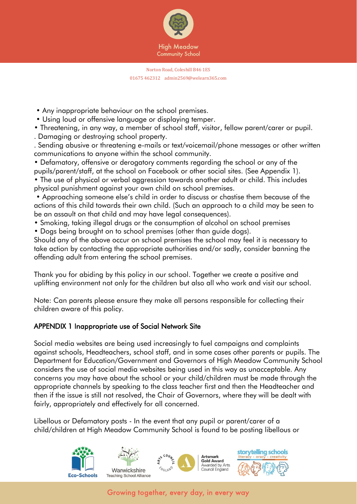

- Any inappropriate behaviour on the school premises.
- Using loud or offensive language or displaying temper.
- Threatening, in any way, a member of school staff, visitor, fellow parent/carer or pupil. . Damaging or destroying school property.

. Sending abusive or threatening e-mails or text/voicemail/phone messages or other written communications to anyone within the school community.

• Defamatory, offensive or derogatory comments regarding the school or any of the pupils/parent/staff, at the school on Facebook or other social sites. (See Appendix 1).

• The use of physical or verbal aggression towards another adult or child. This includes physical punishment against your own child on school premises.

• Approaching someone else's child in order to discuss or chastise them because of the actions of this child towards their own child. (Such an approach to a child may be seen to be an assault on that child and may have legal consequences).

- Smoking, taking illegal drugs or the consumption of alcohol on school premises
- Dogs being brought on to school premises (other than guide dogs).

Should any of the above occur on school premises the school may feel it is necessary to take action by contacting the appropriate authorities and/or sadly, consider banning the offending adult from entering the school premises.

Thank you for abiding by this policy in our school. Together we create a positive and uplifting environment not only for the children but also all who work and visit our school.

Note: Can parents please ensure they make all persons responsible for collecting their children aware of this policy.

## APPENDIX 1 Inappropriate use of Social Network Site

Social media websites are being used increasingly to fuel campaigns and complaints against schools, Headteachers, school staff, and in some cases other parents or pupils. The Department for Education/Government and Governors of High Meadow Community School considers the use of social media websites being used in this way as unacceptable. Any concerns you may have about the school or your child/children must be made through the appropriate channels by speaking to the class teacher first and then the Headteacher and then if the issue is still not resolved, the Chair of Governors, where they will be dealt with fairly, appropriately and effectively for all concerned.

Libellous or Defamatory posts - In the event that any pupil or parent/carer of a child/children at High Meadow Community School is found to be posting libellous or



Growing together, every day, in every way